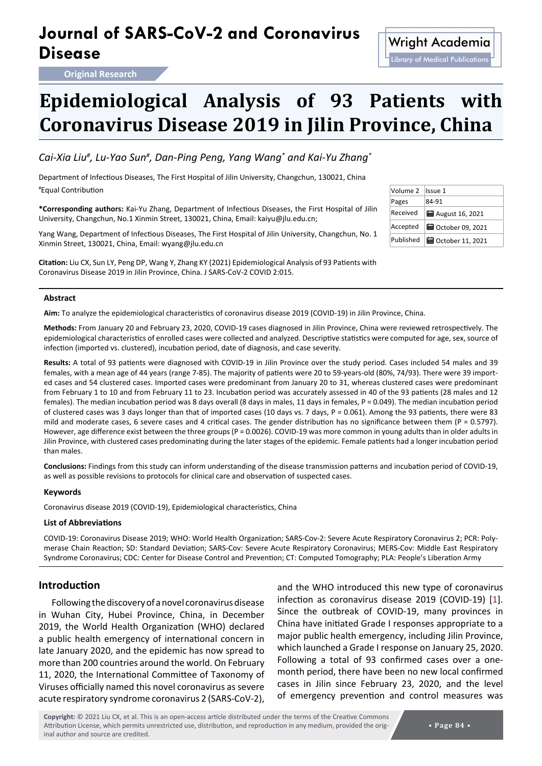## **Journal of SARS-CoV-2 and Coronavirus Disease** Microsoft Contravirus Wright Academia

**Original Research**

# **Epidemiological Analysis of 93 Patients with Coronavirus Disease 2019 in Jilin Province, China**

*Cai-Xia Liu# , Lu-Yao Sun# , Dan-Ping Peng, Yang Wang\* and Kai-Yu Zhang\**

Department of Infectious Diseases, The First Hospital of Jilin University, Changchun, 130021, China # Equal Contribution

**\*Corresponding authors:** Kai-Yu Zhang, Department of Infectious Diseases, the First Hospital of Jilin University, Changchun, No.1 Xinmin Street, 130021, China, Email: kaiyu@jlu.edu.cn;

Yang Wang, Department of Infectious Diseases, The First Hospital of Jilin University, Changchun, No. 1 Xinmin Street, 130021, China, Email: wyang@jlu.edu.cn

**Citation:** Liu CX, Sun LY, Peng DP, Wang Y, Zhang KY (2021) Epidemiological Analysis of 93 Patients with Coronavirus Disease 2019 in Jilin Province, China. J SARS-CoV-2 COVID 2:015.

#### **Abstract**

**Aim:** To analyze the epidemiological characteristics of coronavirus disease 2019 (COVID-19) in Jilin Province, China.

**Methods:** From January 20 and February 23, 2020, COVID-19 cases diagnosed in Jilin Province, China were reviewed retrospectively. The epidemiological characteristics of enrolled cases were collected and analyzed. Descriptive statistics were computed for age, sex, source of infection (imported vs. clustered), incubation period, date of diagnosis, and case severity.

**Results:** A total of 93 patients were diagnosed with COVID-19 in Jilin Province over the study period. Cases included 54 males and 39 females, with a mean age of 44 years (range 7-85). The majority of patients were 20 to 59-years-old (80%, 74/93). There were 39 imported cases and 54 clustered cases. Imported cases were predominant from January 20 to 31, whereas clustered cases were predominant from February 1 to 10 and from February 11 to 23. Incubation period was accurately assessed in 40 of the 93 patients (28 males and 12 females). The median incubation period was 8 days overall (8 days in males, 11 days in females, P = 0.049). The median incubation period of clustered cases was 3 days longer than that of imported cases (10 days vs. 7 days, P = 0.061). Among the 93 patients, there were 83 mild and moderate cases, 6 severe cases and 4 critical cases. The gender distribution has no significance between them (P = 0.5797). However, age difference exist between the three groups (P = 0.0026). COVID-19 was more common in young adults than in older adults in Jilin Province, with clustered cases predominating during the later stages of the epidemic. Female patients had a longer incubation period than males.

**Conclusions:** Findings from this study can inform understanding of the disease transmission patterns and incubation period of COVID-19, as well as possible revisions to protocols for clinical care and observation of suspected cases.

#### **Keywords**

Coronavirus disease 2019 (COVID-19), Epidemiological characteristics, China

#### **List of Abbreviations**

COVID-19: Coronavirus Disease 2019; WHO: World Health Organization; SARS-Cov-2: Severe Acute Respiratory Coronavirus 2; PCR: Polymerase Chain Reaction; SD: Standard Deviation; SARS-Cov: Severe Acute Respiratory Coronavirus; MERS-Cov: Middle East Respiratory Syndrome Coronavirus; CDC: Center for Disease Control and Prevention; CT: Computed Tomography; PLA: People's Liberation Army

## **Introduction**

Following the discovery of a novel coronavirus disease in Wuhan City, Hubei Province, China, in December 2019, the World Health Organization (WHO) declared a public health emergency of international concern in late January 2020, and the epidemic has now spread to more than 200 countries around the world. On February 11, 2020, the International Committee of Taxonomy of Viruses officially named this novel coronavirus as severe acute respiratory syndrome coronavirus 2 (SARS-CoV-2),

and the WHO introduced this new type of coronavirus infection as coronavirus disease 2019 (COVID-19) [[1\]](#page-6-0). Since the outbreak of COVID-19, many provinces in China have initiated Grade I responses appropriate to a major public health emergency, including Jilin Province, which launched a Grade I response on January 25, 2020. Following a total of 93 confirmed cases over a onemonth period, there have been no new local confirmed cases in Jilin since February 23, 2020, and the level of emergency prevention and control measures was

| Volume 2  | Issue 1                   |
|-----------|---------------------------|
| Pages     | 84-91                     |
| Received  | <b>■</b> August 16, 2021  |
| Accepted  | <b>■ October 09, 2021</b> |
| Published | <b>量 October 11, 2021</b> |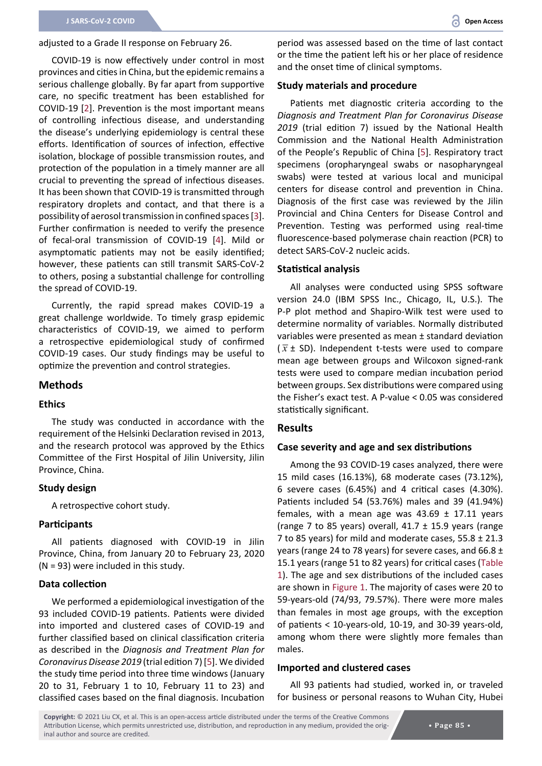adjusted to a Grade II response on February 26.

COVID-19 is now effectively under control in most provinces and cities in China, but the epidemic remains a serious challenge globally. By far apart from supportive care, no specific treatment has been established for COVID-19 [[2](#page-6-2)]. Prevention is the most important means of controlling infectious disease, and understanding the disease's underlying epidemiology is central these efforts. Identification of sources of infection, effective isolation, blockage of possible transmission routes, and protection of the population in a timely manner are all crucial to preventing the spread of infectious diseases. It has been shown that COVID-19 is transmitted through respiratory droplets and contact, and that there is a possibility of aerosol transmission in confined spaces [[3](#page-6-3)]. Further confirmation is needed to verify the presence of fecal-oral transmission of COVID-19 [[4](#page-6-4)]. Mild or asymptomatic patients may not be easily identified; however, these patients can still transmit SARS-CoV-2 to others, posing a substantial challenge for controlling the spread of COVID-19.

Currently, the rapid spread makes COVID-19 a great challenge worldwide. To timely grasp epidemic characteristics of COVID-19, we aimed to perform a retrospective epidemiological study of confirmed COVID-19 cases. Our study findings may be useful to optimize the prevention and control strategies.

### **Methods**

## **Ethics**

The study was conducted in accordance with the requirement of the Helsinki Declaration revised in 2013, and the research protocol was approved by the Ethics Committee of the First Hospital of Jilin University, Jilin Province, China.

#### **Study design**

A retrospective cohort study.

### **Participants**

All patients diagnosed with COVID-19 in Jilin Province, China, from January 20 to February 23, 2020  $(N = 93)$  were included in this study.

#### **Data collection**

We performed a epidemiological investigation of the 93 included COVID-19 patients. Patients were divided into imported and clustered cases of COVID-19 and further classified based on clinical classification criteria as described in the *Diagnosis and Treatment Plan for Coronavirus Disease 2019* (trial edition 7) [\[5\]](#page-6-1). We divided the study time period into three time windows (January 20 to 31, February 1 to 10, February 11 to 23) and classified cases based on the final diagnosis. Incubation period was assessed based on the time of last contact or the time the patient left his or her place of residence and the onset time of clinical symptoms.

#### **Study materials and procedure**

Patients met diagnostic criteria according to the *Diagnosis and Treatment Plan for Coronavirus Disease 2019* (trial edition 7) issued by the National Health Commission and the National Health Administration of the People's Republic of China [\[5\]](#page-6-1). Respiratory tract specimens (oropharyngeal swabs or nasopharyngeal swabs) were tested at various local and municipal centers for disease control and prevention in China. Diagnosis of the first case was reviewed by the Jilin Provincial and China Centers for Disease Control and Prevention. Testing was performed using real-time fluorescence-based polymerase chain reaction (PCR) to detect SARS-CoV-2 nucleic acids.

#### **Statistical analysis**

All analyses were conducted using SPSS software version 24.0 (IBM SPSS Inc., Chicago, IL, U.S.). The P-P plot method and Shapiro-Wilk test were used to determine normality of variables. Normally distributed variables were presented as mean ± standard deviation  $(\bar{x} \pm SD)$ . Independent t-tests were used to compare mean age between groups and Wilcoxon signed-rank tests were used to compare median incubation period between groups. Sex distributions were compared using the Fisher's exact test. A P-value < 0.05 was considered statistically significant.

#### **Results**

#### **Case severity and age and sex distributions**

Among the 93 COVID-19 cases analyzed, there were 15 mild cases (16.13%), 68 moderate cases (73.12%), 6 severe cases (6.45%) and 4 critical cases (4.30%). Patients included 54 (53.76%) males and 39 (41.94%) females, with a mean age was  $43.69 \pm 17.11$  years (range 7 to 85 years) overall,  $41.7 \pm 15.9$  years (range 7 to 85 years) for mild and moderate cases,  $55.8 \pm 21.3$ years (range 24 to 78 years) for severe cases, and 66.8  $\pm$ 15.1 years (range 51 to 82 years) for critical cases (Table 1). The age and sex distributions of the included cases are shown in Figure 1. The majority of cases were 20 to 59-years-old (74/93, 79.57%). There were more males than females in most age groups, with the exception of patients < 10-years-old, 10-19, and 30-39 years-old, among whom there were slightly more females than males.

#### **Imported and clustered cases**

All 93 patients had studied, worked in, or traveled for business or personal reasons to Wuhan City, Hubei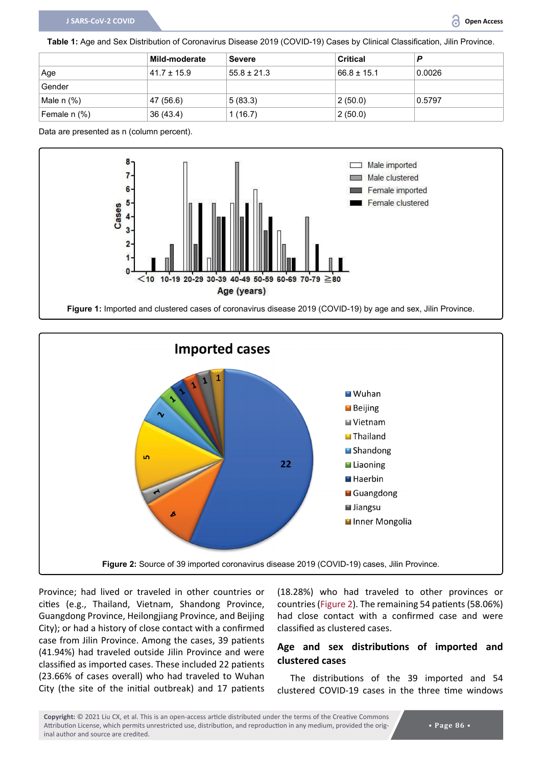**Table 1:** Age and Sex Distribution of Coronavirus Disease 2019 (COVID-19) Cases by Clinical Classification, Jilin Province.

|              | Mild-moderate    | <b>Severe</b>   | <b>Critical</b> |        |
|--------------|------------------|-----------------|-----------------|--------|
| Age          | $141.7 \pm 15.9$ | $55.8 \pm 21.3$ | $66.8 \pm 15.1$ | 0.0026 |
| Gender       |                  |                 |                 |        |
| Male $n$ (%) | 47 (56.6)        | 5(83.3)         | 2(50.0)         | 0.5797 |
| Female n (%) | 36(43.4)         | 1(16.7)         | 2(50.0)         |        |

Data are presented as n (column percent).





Province; had lived or traveled in other countries or cities (e.g., Thailand, Vietnam, Shandong Province, Guangdong Province, Heilongjiang Province, and Beijing City); or had a history of close contact with a confirmed case from Jilin Province. Among the cases, 39 patients (41.94%) had traveled outside Jilin Province and were classified as imported cases. These included 22 patients (23.66% of cases overall) who had traveled to Wuhan City (the site of the initial outbreak) and 17 patients

(18.28%) who had traveled to other provinces or countries (Figure 2). The remaining 54 patients (58.06%) had close contact with a confirmed case and were classified as clustered cases.

## **Age and sex distributions of imported and clustered cases**

The distributions of the 39 imported and 54 clustered COVID-19 cases in the three time windows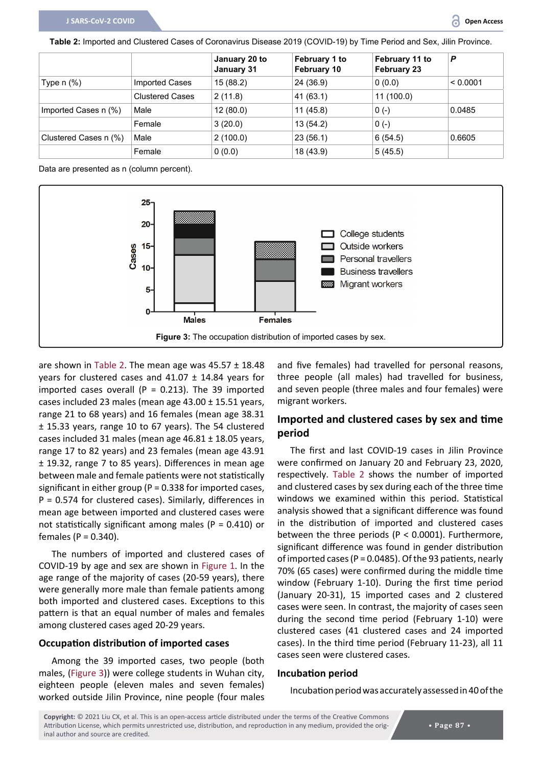**Table 2:** Imported and Clustered Cases of Coronavirus Disease 2019 (COVID-19) by Time Period and Sex, Jilin Province.

|                       |                        | January 20 to<br>January 31 | February 1 to<br><b>February 10</b> | February 11 to<br><b>February 23</b> | P        |
|-----------------------|------------------------|-----------------------------|-------------------------------------|--------------------------------------|----------|
| Type $n$ (%)          | <b>Imported Cases</b>  | 15 (88.2)                   | 24 (36.9)                           | 0(0.0)                               | < 0.0001 |
|                       | <b>Clustered Cases</b> | 2(11.8)                     | 41 (63.1)                           | 11(100.0)                            |          |
| Imported Cases n (%)  | Male                   | 12(80.0)                    | 11(45.8)                            | $0(-)$                               | 0.0485   |
|                       | Female                 | 3(20.0)                     | 13(54.2)                            | $0(-)$                               |          |
| Clustered Cases n (%) | Male                   | 2(100.0)                    | 23(56.1)                            | 6(54.5)                              | 0.6605   |
|                       | Female                 | 0(0.0)                      | 18 (43.9)                           | 5(45.5)                              |          |

Data are presented as n (column percent).



are shown in Table 2. The mean age was  $45.57 \pm 18.48$ years for clustered cases and  $41.07 \pm 14.84$  years for imported cases overall ( $P = 0.213$ ). The 39 imported cases included 23 males (mean age 43.00 ± 15.51 years, range 21 to 68 years) and 16 females (mean age 38.31 ± 15.33 years, range 10 to 67 years). The 54 clustered cases included 31 males (mean age 46.81 ± 18.05 years, range 17 to 82 years) and 23 females (mean age 43.91 ± 19.32, range 7 to 85 years). Differences in mean age between male and female patients were not statistically significant in either group ( $P = 0.338$  for imported cases, P = 0.574 for clustered cases). Similarly, differences in mean age between imported and clustered cases were not statistically significant among males (P = 0.410) or females ( $P = 0.340$ ).

The numbers of imported and clustered cases of COVID-19 by age and sex are shown in Figure 1. In the age range of the majority of cases (20-59 years), there were generally more male than female patients among both imported and clustered cases. Exceptions to this pattern is that an equal number of males and females among clustered cases aged 20-29 years.

#### **Occupation distribution of imported cases**

Among the 39 imported cases, two people (both males, (Figure 3)) were college students in Wuhan city, eighteen people (eleven males and seven females) worked outside Jilin Province, nine people (four males and five females) had travelled for personal reasons, three people (all males) had travelled for business, and seven people (three males and four females) were migrant workers.

## **Imported and clustered cases by sex and time period**

The first and last COVID-19 cases in Jilin Province were confirmed on January 20 and February 23, 2020, respectively. Table 2 shows the number of imported and clustered cases by sex during each of the three time windows we examined within this period. Statistical analysis showed that a significant difference was found in the distribution of imported and clustered cases between the three periods (P < 0.0001). Furthermore, significant difference was found in gender distribution of imported cases (P = 0.0485). Of the 93 patients, nearly 70% (65 cases) were confirmed during the middle time window (February 1-10). During the first time period (January 20-31), 15 imported cases and 2 clustered cases were seen. In contrast, the majority of cases seen during the second time period (February 1-10) were clustered cases (41 clustered cases and 24 imported cases). In the third time period (February 11-23), all 11 cases seen were clustered cases.

#### **Incubation period**

Incubation period was accurately assessed in 40 of the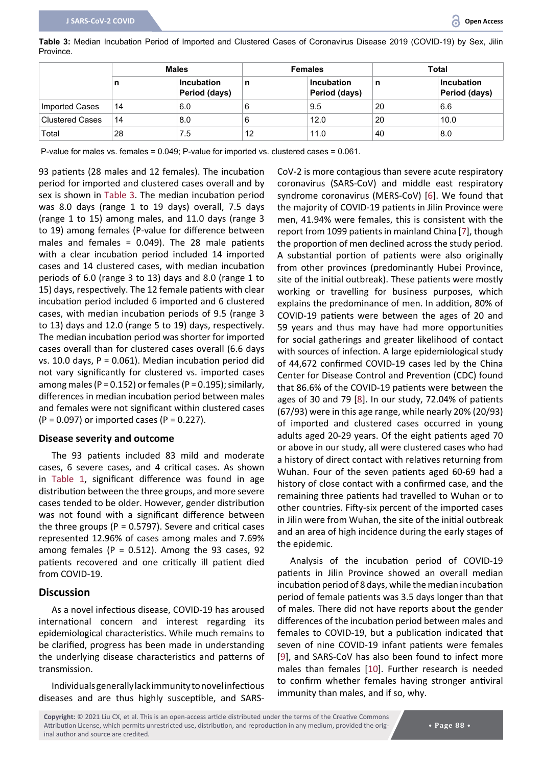**Table 3:** Median Incubation Period of Imported and Clustered Cases of Coronavirus Disease 2019 (COVID-19) by Sex, Jilin **Province** 

|                        | <b>Males</b> |                                    | <b>Females</b> |                                    | <b>Total</b> |                                    |
|------------------------|--------------|------------------------------------|----------------|------------------------------------|--------------|------------------------------------|
|                        | n            | <b>Incubation</b><br>Period (days) | n              | <b>Incubation</b><br>Period (days) | n            | <b>Incubation</b><br>Period (days) |
| Imported Cases         | 14           | 6.0                                | 6              | 9.5                                | 20           | 6.6                                |
| <b>Clustered Cases</b> | 14           | 8.0                                | 6              | 12.0                               | 20           | 10.0                               |
| Total                  | 28           | 7.5                                | 12             | 11.0                               | 40           | 8.0                                |

P-value for males vs. females = 0.049; P-value for imported vs. clustered cases = 0.061.

93 patients (28 males and 12 females). The incubation period for imported and clustered cases overall and by sex is shown in Table 3. The median incubation period was 8.0 days (range 1 to 19 days) overall, 7.5 days (range 1 to 15) among males, and 11.0 days (range 3 to 19) among females (P-value for difference between males and females = 0.049). The 28 male patients with a clear incubation period included 14 imported cases and 14 clustered cases, with median incubation periods of 6.0 (range 3 to 13) days and 8.0 (range 1 to 15) days, respectively. The 12 female patients with clear incubation period included 6 imported and 6 clustered cases, with median incubation periods of 9.5 (range 3 to 13) days and 12.0 (range 5 to 19) days, respectively. The median incubation period was shorter for imported cases overall than for clustered cases overall (6.6 days vs. 10.0 days, P = 0.061). Median incubation period did not vary significantly for clustered vs. imported cases among males (P = 0.152) or females (P = 0.195); similarly, differences in median incubation period between males and females were not significant within clustered cases  $(P = 0.097)$  or imported cases  $(P = 0.227)$ .

#### **Disease severity and outcome**

The 93 patients included 83 mild and moderate cases, 6 severe cases, and 4 critical cases. As shown in Table 1, significant difference was found in age distribution between the three groups, and more severe cases tended to be older. However, gender distribution was not found with a significant difference between the three groups ( $P = 0.5797$ ). Severe and critical cases represented 12.96% of cases among males and 7.69% among females ( $P = 0.512$ ). Among the 93 cases, 92 patients recovered and one critically ill patient died from COVID-19.

## **Discussion**

As a novel infectious disease, COVID-19 has aroused international concern and interest regarding its epidemiological characteristics. While much remains to be clarified, progress has been made in understanding the underlying disease characteristics and patterns of transmission.

Individuals generally lack immunity to novel infectious diseases and are thus highly susceptible, and SARS- CoV-2 is more contagious than severe acute respiratory coronavirus (SARS-CoV) and middle east respiratory syndrome coronavirus (MERS-CoV) [[6\]](#page-6-5). We found that the majority of COVID-19 patients in Jilin Province were men, 41.94% were females, this is consistent with the report from 1099 patients in mainland China [[7\]](#page-6-6), though the proportion of men declined across the study period. A substantial portion of patients were also originally from other provinces (predominantly Hubei Province, site of the initial outbreak). These patients were mostly working or travelling for business purposes, which explains the predominance of men. In addition, 80% of COVID-19 patients were between the ages of 20 and 59 years and thus may have had more opportunities for social gatherings and greater likelihood of contact with sources of infection. A large epidemiological study of 44,672 confirmed COVID-19 cases led by the China Center for Disease Control and Prevention (CDC) found that 86.6% of the COVID-19 patients were between the ages of 30 and 79 [[8](#page-6-7)]. In our study, 72.04% of patients (67/93) were in this age range, while nearly 20% (20/93) of imported and clustered cases occurred in young adults aged 20-29 years. Of the eight patients aged 70 or above in our study, all were clustered cases who had a history of direct contact with relatives returning from Wuhan. Four of the seven patients aged 60-69 had a history of close contact with a confirmed case, and the remaining three patients had travelled to Wuhan or to other countries. Fifty-six percent of the imported cases in Jilin were from Wuhan, the site of the initial outbreak and an area of high incidence during the early stages of the epidemic.

Analysis of the incubation period of COVID-19 patients in Jilin Province showed an overall median incubation period of 8 days, while the median incubation period of female patients was 3.5 days longer than that of males. There did not have reports about the gender differences of the incubation period between males and females to COVID-19, but a publication indicated that seven of nine COVID-19 infant patients were females [[9](#page-7-0)], and SARS-CoV has also been found to infect more males than females [[10](#page-7-1)]. Further research is needed to confirm whether females having stronger antiviral immunity than males, and if so, why.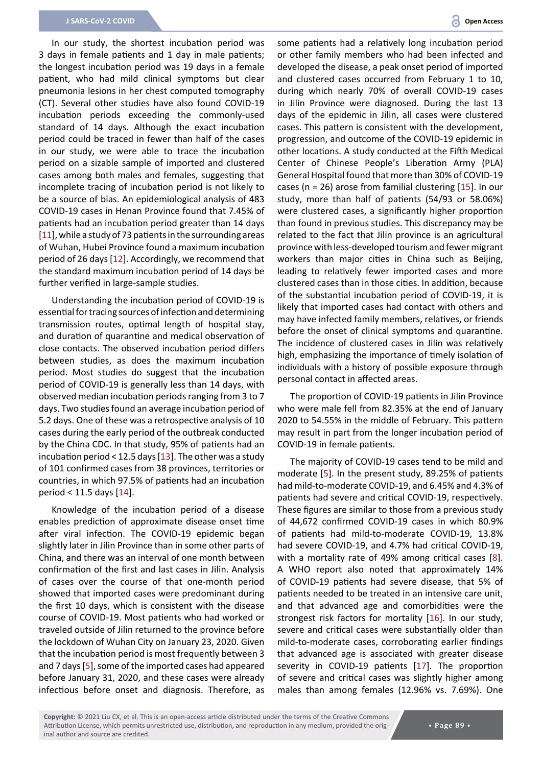In our study, the shortest incubation period was 3 days in female patients and 1 day in male patients; the longest incubation period was 19 days in a female patient, who had mild clinical symptoms but clear pneumonia lesions in her chest computed tomography (CT). Several other studies have also found COVID-19 incubation periods exceeding the commonly-used standard of 14 days. Although the exact incubation period could be traced in fewer than half of the cases in our study, we were able to trace the incubation period on a sizable sample of imported and clustered cases among both males and females, suggesting that incomplete tracing of incubation period is not likely to be a source of bias. An epidemiological analysis of 483 COVID-19 cases in Henan Province found that 7.45% of patients had an incubation period greater than 14 days [[11](#page-7-5)], while a study of 73 patients in the surrounding areas of Wuhan, Hubei Province found a maximum incubation period of 26 days [[12](#page-7-6)]. Accordingly, we recommend that the standard maximum incubation period of 14 days be further verified in large-sample studies.

Understanding the incubation period of COVID-19 is essential for tracing sources of infection and determining transmission routes, optimal length of hospital stay, and duration of quarantine and medical observation of close contacts. The observed incubation period differs between studies, as does the maximum incubation period. Most studies do suggest that the incubation period of COVID-19 is generally less than 14 days, with observed median incubation periods ranging from 3 to 7 days. Two studies found an average incubation period of 5.2 days. One of these was a retrospective analysis of 10 cases during the early period of the outbreak conducted by the China CDC. In that study, 95% of patients had an incubation period < 12.5 days [\[13\]](#page-7-7). The other was a study of 101 confirmed cases from 38 provinces, territories or countries, in which 97.5% of patients had an incubation period < 11.5 days [[14](#page-7-8)].

Knowledge of the incubation period of a disease enables prediction of approximate disease onset time after viral infection. The COVID-19 epidemic began slightly later in Jilin Province than in some other parts of China, and there was an interval of one month between confirmation of the first and last cases in Jilin. Analysis of cases over the course of that one-month period showed that imported cases were predominant during the first 10 days, which is consistent with the disease course of COVID-19. Most patients who had worked or traveled outside of Jilin returned to the province before the lockdown of Wuhan City on January 23, 2020. Given that the incubation period is most frequently between 3 and 7 days [[5](#page-6-1)], some of the imported cases had appeared before January 31, 2020, and these cases were already infectious before onset and diagnosis. Therefore, as

some patients had a relatively long incubation period or other family members who had been infected and developed the disease, a peak onset period of imported and clustered cases occurred from February 1 to 10, during which nearly 70% of overall COVID-19 cases in Jilin Province were diagnosed. During the last 13 days of the epidemic in Jilin, all cases were clustered cases. This pattern is consistent with the development, progression, and outcome of the COVID-19 epidemic in other locations. A study conducted at the Fifth Medical Center of Chinese People's Liberation Army (PLA) General Hospital found that more than 30% of COVID-19 cases (n = 26) arose from familial clustering [\[15](#page-7-2)]. In our study, more than half of patients (54/93 or 58.06%) were clustered cases, a significantly higher proportion than found in previous studies. This discrepancy may be related to the fact that Jilin province is an agricultural province with less-developed tourism and fewer migrant workers than major cities in China such as Beijing, leading to relatively fewer imported cases and more clustered cases than in those cities. In addition, because of the substantial incubation period of COVID-19, it is likely that imported cases had contact with others and may have infected family members, relatives, or friends before the onset of clinical symptoms and quarantine. The incidence of clustered cases in Jilin was relatively high, emphasizing the importance of timely isolation of individuals with a history of possible exposure through personal contact in affected areas.

The proportion of COVID-19 patients in Jilin Province who were male fell from 82.35% at the end of January 2020 to 54.55% in the middle of February. This pattern may result in part from the longer incubation period of COVID-19 in female patients.

The majority of COVID-19 cases tend to be mild and moderate [\[5\]](#page-6-1). In the present study, 89.25% of patients had mild-to-moderate COVID-19, and 6.45% and 4.3% of patients had severe and critical COVID-19, respectively. These figures are similar to those from a previous study of 44,672 confirmed COVID-19 cases in which 80.9% of patients had mild-to-moderate COVID-19, 13.8% had severe COVID-19, and 4.7% had critical COVID-19, with a mortality rate of 49% among critical cases [[8\]](#page-6-7). A WHO report also noted that approximately 14% of COVID-19 patients had severe disease, that 5% of patients needed to be treated in an intensive care unit, and that advanced age and comorbidities were the strongest risk factors for mortality [[16\]](#page-7-3). In our study, severe and critical cases were substantially older than mild-to-moderate cases, corroborating earlier findings that advanced age is associated with greater disease severity in COVID-19 patients [\[17\]](#page-7-4). The proportion of severe and critical cases was slightly higher among males than among females (12.96% vs. 7.69%). One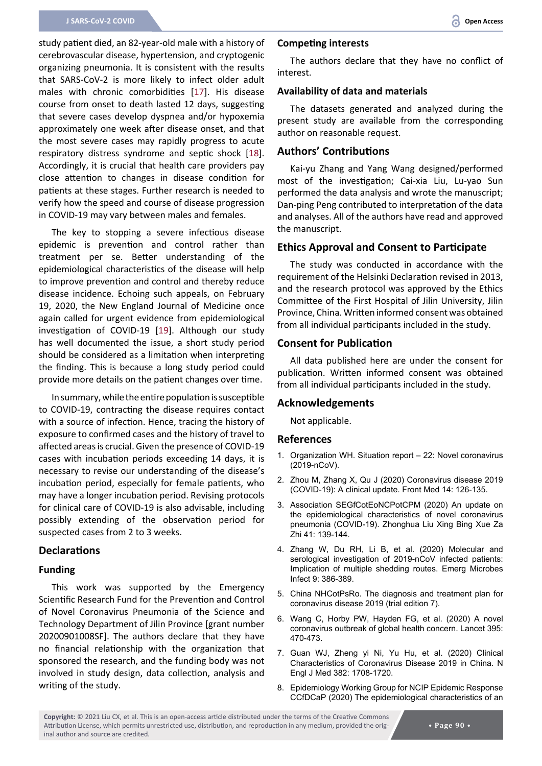study patient died, an 82-year-old male with a history of cerebrovascular disease, hypertension, and cryptogenic organizing pneumonia. It is consistent with the results that SARS-CoV-2 is more likely to infect older adult males with chronic comorbidities [\[17](#page-7-4)]. His disease course from onset to death lasted 12 days, suggesting that severe cases develop dyspnea and/or hypoxemia approximately one week after disease onset, and that the most severe cases may rapidly progress to acute respiratory distress syndrome and septic shock [[18](#page-7-9)]. Accordingly, it is crucial that health care providers pay close attention to changes in disease condition for patients at these stages. Further research is needed to verify how the speed and course of disease progression in COVID-19 may vary between males and females.

The key to stopping a severe infectious disease epidemic is prevention and control rather than treatment per se. Better understanding of the epidemiological characteristics of the disease will help to improve prevention and control and thereby reduce disease incidence. Echoing such appeals, on February 19, 2020, the New England Journal of Medicine once again called for urgent evidence from epidemiological investigation of COVID-19 [[19](#page-7-10)]. Although our study has well documented the issue, a short study period should be considered as a limitation when interpreting the finding. This is because a long study period could provide more details on the patient changes over time.

In summary, while the entire population is susceptible to COVID-19, contracting the disease requires contact with a source of infection. Hence, tracing the history of exposure to confirmed cases and the history of travel to affected areas is crucial. Given the presence of COVID-19 cases with incubation periods exceeding 14 days, it is necessary to revise our understanding of the disease's incubation period, especially for female patients, who may have a longer incubation period. Revising protocols for clinical care of COVID-19 is also advisable, including possibly extending of the observation period for suspected cases from 2 to 3 weeks.

## **Declarations**

#### **Funding**

This work was supported by the Emergency Scientific Research Fund for the Prevention and Control of Novel Coronavirus Pneumonia of the Science and Technology Department of Jilin Province [grant number 20200901008SF]. The authors declare that they have no financial relationship with the organization that sponsored the research, and the funding body was not involved in study design, data collection, analysis and writing of the study.

#### **Competing interests**

The authors declare that they have no conflict of interest.

## **Availability of data and materials**

The datasets generated and analyzed during the present study are available from the corresponding author on reasonable request.

## **Authors' Contributions**

Kai-yu Zhang and Yang Wang designed/performed most of the investigation; Cai-xia Liu, Lu-yao Sun performed the data analysis and wrote the manuscript; Dan-ping Peng contributed to interpretation of the data and analyses. All of the authors have read and approved the manuscript.

## **Ethics Approval and Consent to Participate**

The study was conducted in accordance with the requirement of the Helsinki Declaration revised in 2013, and the research protocol was approved by the Ethics Committee of the First Hospital of Jilin University, Jilin Province, China. Written informed consent was obtained from all individual participants included in the study.

## **Consent for Publication**

All data published here are under the consent for publication. Written informed consent was obtained from all individual participants included in the study.

## **Acknowledgements**

Not applicable.

## **References**

- <span id="page-6-0"></span>1. [Organization WH. Situation report – 22: Novel coronavirus](https://covid19-evidence.paho.org/handle/20.500.12663/837?show=full&locale-attribute=pt_BR)  [\(2019-nCoV\).](https://covid19-evidence.paho.org/handle/20.500.12663/837?show=full&locale-attribute=pt_BR)
- <span id="page-6-2"></span>2. [Zhou M, Zhang X, Qu J \(2020\) Coronavirus disease 2019](https://pubmed.ncbi.nlm.nih.gov/32240462/)  [\(COVID-19\): A clinical update. Front Med 14: 126-135.](https://pubmed.ncbi.nlm.nih.gov/32240462/)
- <span id="page-6-3"></span>3. [Association SEGfCotEoNCPotCPM \(2020\) An update on](https://pubmed.ncbi.nlm.nih.gov/32057211/)  [the epidemiological characteristics of novel coronavirus](https://pubmed.ncbi.nlm.nih.gov/32057211/)  [pneumonia \(COVID-19\). Zhonghua Liu Xing Bing Xue Za](https://pubmed.ncbi.nlm.nih.gov/32057211/)  [Zhi 41: 139-144.](https://pubmed.ncbi.nlm.nih.gov/32057211/)
- <span id="page-6-4"></span>4. [Zhang W, Du RH, Li B, et al. \(2020\) Molecular and](https://pubmed.ncbi.nlm.nih.gov/32065057/)  [serological investigation of 2019-nCoV infected patients:](https://pubmed.ncbi.nlm.nih.gov/32065057/)  [Implication of multiple shedding routes. Emerg Microbes](https://pubmed.ncbi.nlm.nih.gov/32065057/)  [Infect 9: 386-389.](https://pubmed.ncbi.nlm.nih.gov/32065057/)
- <span id="page-6-1"></span>5. [China NHCotPsRo. The diagnosis and treatment plan for](https://www.ncbi.nlm.nih.gov/pmc/articles/PMC7148673/)  [coronavirus disease 2019 \(trial edition 7\).](https://www.ncbi.nlm.nih.gov/pmc/articles/PMC7148673/)
- <span id="page-6-5"></span>6. [Wang C, Horby PW, Hayden FG, et al. \(2020\) A novel](https://pubmed.ncbi.nlm.nih.gov/31986257/)  [coronavirus outbreak of global health concern. Lancet 395:](https://pubmed.ncbi.nlm.nih.gov/31986257/)  [470-473.](https://pubmed.ncbi.nlm.nih.gov/31986257/)
- <span id="page-6-6"></span>7. [Guan WJ, Zheng yi Ni, Yu Hu, et al. \(2020\) Clinical](https://www.nejm.org/doi/10.1056/nejmoa2002032#:~:text=The most common symptoms were,range%2C 2 to 7).)  [Characteristics of Coronavirus Disease 2019 in China. N](https://www.nejm.org/doi/10.1056/nejmoa2002032#:~:text=The most common symptoms were,range%2C 2 to 7).)  [Engl J Med 382: 1708-1720.](https://www.nejm.org/doi/10.1056/nejmoa2002032#:~:text=The most common symptoms were,range%2C 2 to 7).)
- <span id="page-6-7"></span>8. [Epidemiology Working Group for NCIP Epidemic Response](https://pubmed.ncbi.nlm.nih.gov/32064853/)  [CCfDCaP \(2020\) The epidemiological characteristics of an](https://pubmed.ncbi.nlm.nih.gov/32064853/)